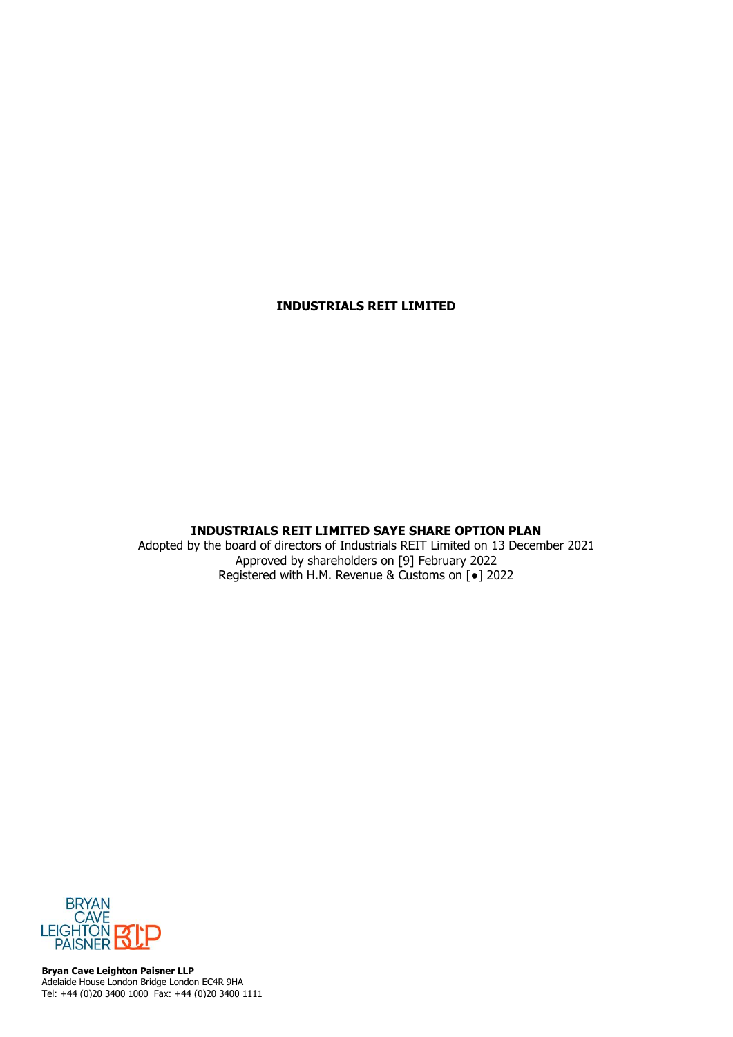# **INDUSTRIALS REIT LIMITED**

# **INDUSTRIALS REIT LIMITED SAYE SHARE OPTION PLAN**

Adopted by the board of directors of Industrials REIT Limited on 13 December 2021 Approved by shareholders on [9] February 2022 Registered with H.M. Revenue & Customs on [●] 2022



**Bryan Cave Leighton Paisner LLP** Adelaide House London Bridge London EC4R 9HA Tel: +44 (0)20 3400 1000 Fax: +44 (0)20 3400 1111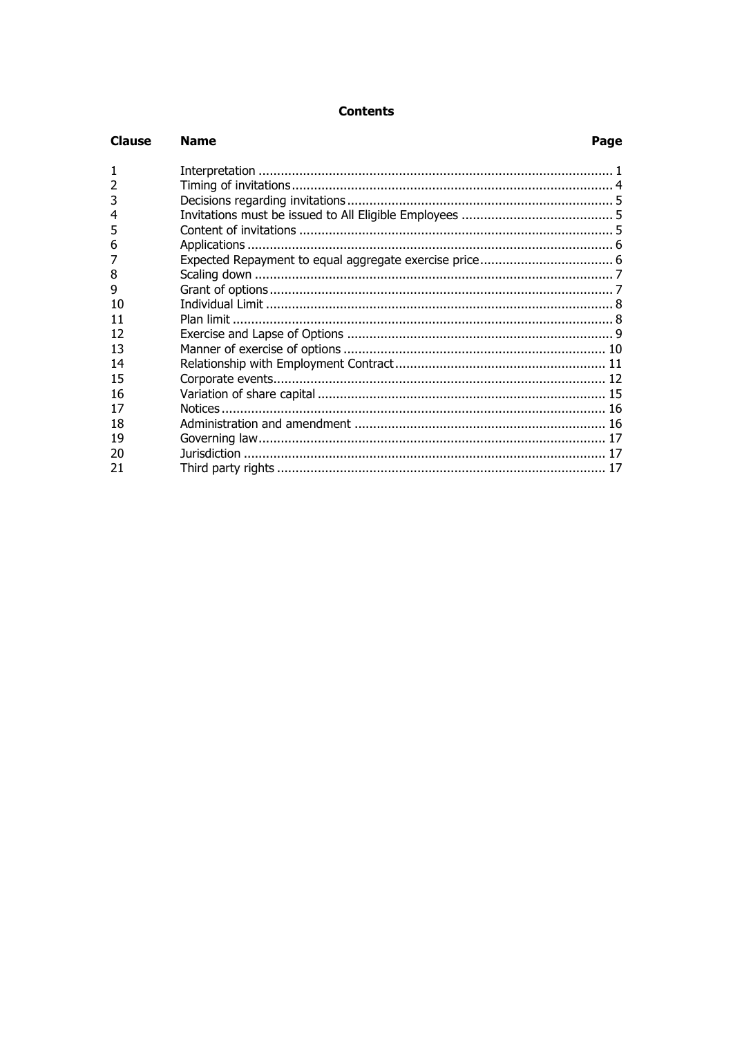# **Contents**

| <b>Clause</b>  | <b>Name</b> | Page |
|----------------|-------------|------|
| $\mathbf{1}$   |             |      |
| $\overline{2}$ |             |      |
| 3              |             |      |
| 4              |             |      |
| 5              |             |      |
| 6              |             |      |
|                |             |      |
| 8              |             |      |
| 9              |             |      |
| 10             |             |      |
| 11             |             |      |
| 12             |             |      |
| 13             |             |      |
| 14             |             |      |
| 15             |             |      |
| 16             |             |      |
| 17             |             |      |
| 18             |             |      |
| 19             |             |      |
| 20             |             |      |
| 21             |             |      |
|                |             |      |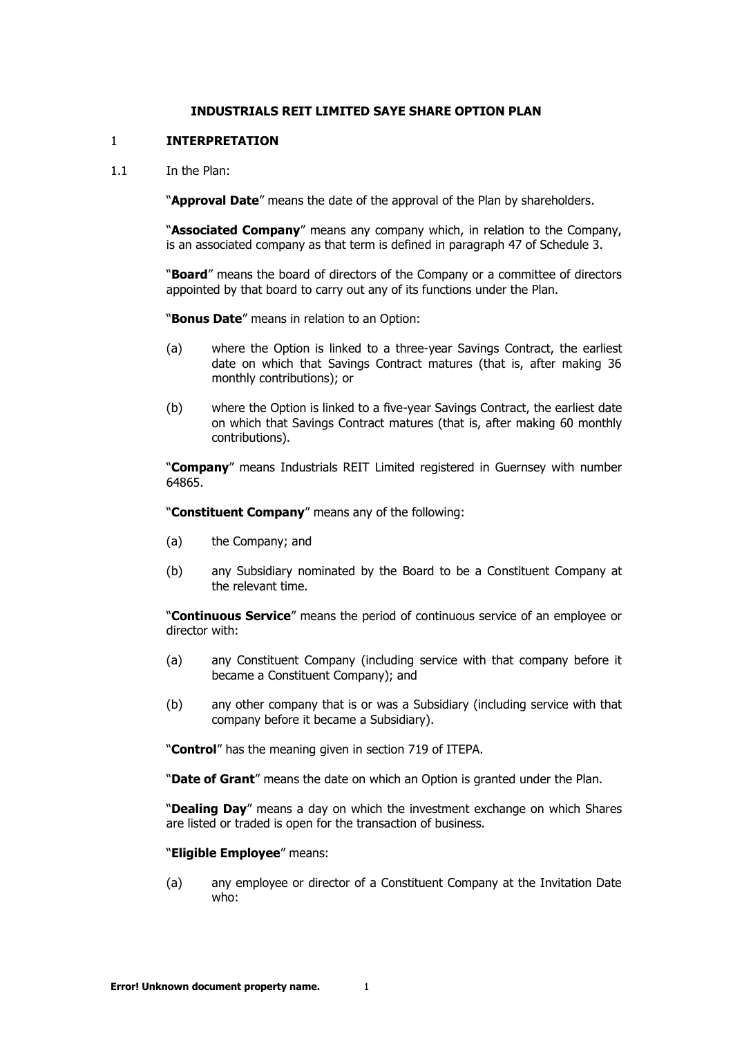#### **INDUSTRIALS REIT LIMITED SAYE SHARE OPTION PLAN**

#### <span id="page-2-1"></span><span id="page-2-0"></span>1 **INTERPRETATION**

1.1 In the Plan:

"**Approval Date**" means the date of the approval of the Plan by shareholders.

"**Associated Company**" means any company which, in relation to the Company, is an associated company as that term is defined in paragraph 47 of Schedule 3.

"**Board**" means the board of directors of the Company or a committee of directors appointed by that board to carry out any of its functions under the Plan.

"**Bonus Date**" means in relation to an Option:

- (a) where the Option is linked to a three-year Savings Contract, the earliest date on which that Savings Contract matures (that is, after making 36 monthly contributions); or
- (b) where the Option is linked to a five-year Savings Contract, the earliest date on which that Savings Contract matures (that is, after making 60 monthly contributions).

"**Company**" means Industrials REIT Limited registered in Guernsey with number 64865.

"**Constituent Company**" means any of the following:

- (a) the Company; and
- (b) any Subsidiary nominated by the Board to be a Constituent Company at the relevant time.

"**Continuous Service**" means the period of continuous service of an employee or director with:

- (a) any Constituent Company (including service with that company before it became a Constituent Company); and
- (b) any other company that is or was a Subsidiary (including service with that company before it became a Subsidiary).

"**Control**" has the meaning given in section 719 of ITEPA.

"**Date of Grant**" means the date on which an Option is granted under the Plan.

"**Dealing Day**" means a day on which the investment exchange on which Shares are listed or traded is open for the transaction of business.

"**Eligible Employee**" means:

(a) any employee or director of a Constituent Company at the Invitation Date who: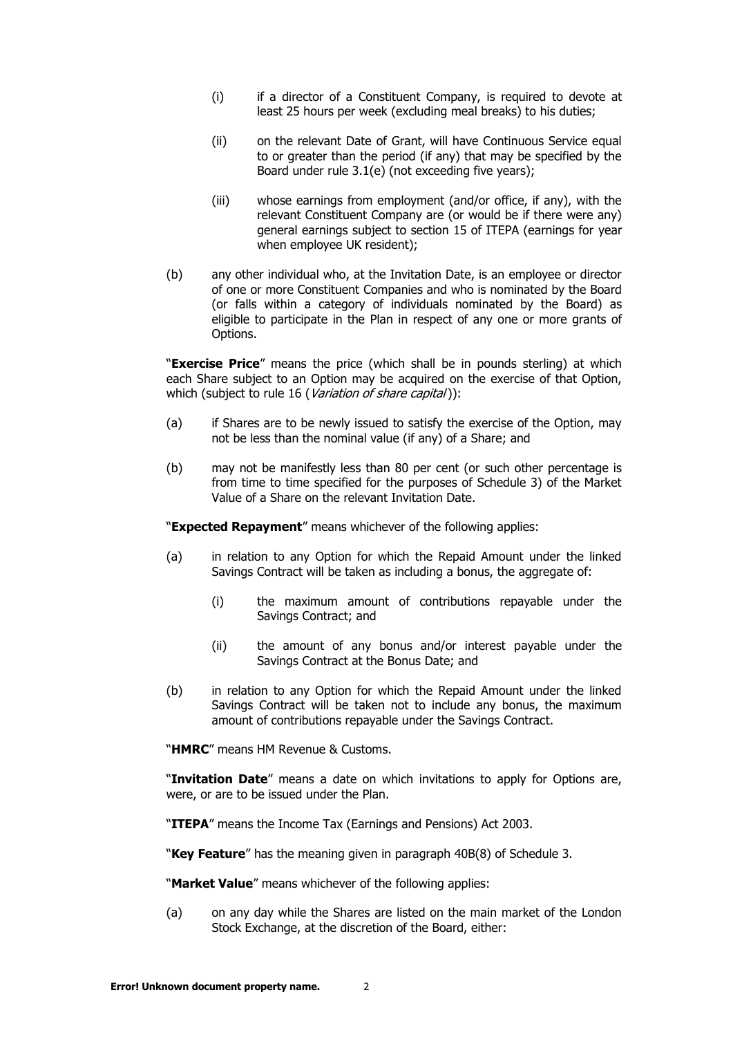- (i) if a director of a Constituent Company, is required to devote at least 25 hours per week (excluding meal breaks) to his duties;
- (ii) on the relevant Date of Grant, will have Continuous Service equal to or greater than the period (if any) that may be specified by the Board under rule [3.1\(e\)](#page-6-3) (not exceeding five years);
- (iii) whose earnings from employment (and/or office, if any), with the relevant Constituent Company are (or would be if there were any) general earnings subject to section 15 of ITEPA (earnings for year when employee UK resident);
- (b) any other individual who, at the Invitation Date, is an employee or director of one or more Constituent Companies and who is nominated by the Board (or falls within a category of individuals nominated by the Board) as eligible to participate in the Plan in respect of any one or more grants of Options.

"**Exercise Price**" means the price (which shall be in pounds sterling) at which each Share subject to an Option may be acquired on the exercise of that Option, which (subject to rule [16](#page-16-0) ([Variation of share capital](#page-16-0))):

- (a) if Shares are to be newly issued to satisfy the exercise of the Option, may not be less than the nominal value (if any) of a Share; and
- (b) may not be manifestly less than 80 per cent (or such other percentage is from time to time specified for the purposes of Schedule 3) of the Market Value of a Share on the relevant Invitation Date.

"**Expected Repayment**" means whichever of the following applies:

- (a) in relation to any Option for which the Repaid Amount under the linked Savings Contract will be taken as including a bonus, the aggregate of:
	- (i) the maximum amount of contributions repayable under the Savings Contract; and
	- (ii) the amount of any bonus and/or interest payable under the Savings Contract at the Bonus Date; and
- (b) in relation to any Option for which the Repaid Amount under the linked Savings Contract will be taken not to include any bonus, the maximum amount of contributions repayable under the Savings Contract.

"**HMRC**" means HM Revenue & Customs.

"**Invitation Date**" means a date on which invitations to apply for Options are, were, or are to be issued under the Plan.

"**ITEPA**" means the Income Tax (Earnings and Pensions) Act 2003.

"**Key Feature**" has the meaning given in paragraph 40B(8) of Schedule 3.

"**Market Value**" means whichever of the following applies:

(a) on any day while the Shares are listed on the main market of the London Stock Exchange, at the discretion of the Board, either: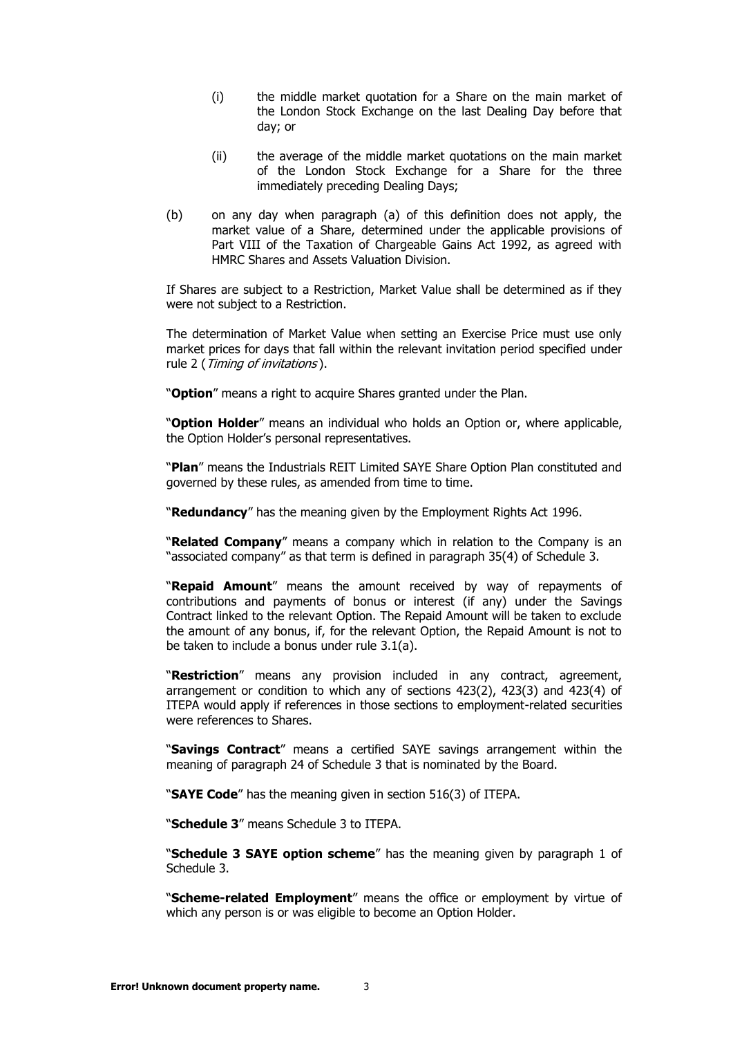- (i) the middle market quotation for a Share on the main market of the London Stock Exchange on the last Dealing Day before that day; or
- (ii) the average of the middle market quotations on the main market of the London Stock Exchange for a Share for the three immediately preceding Dealing Days;
- (b) on any day when paragraph (a) of this definition does not apply, the market value of a Share, determined under the applicable provisions of Part VIII of the Taxation of Chargeable Gains Act 1992, as agreed with HMRC Shares and Assets Valuation Division.

If Shares are subject to a Restriction, Market Value shall be determined as if they were not subject to a Restriction.

The determination of Market Value when setting an Exercise Price must use only market prices for days that fall within the relevant invitation period specified under rule [2](#page-5-0) ([Timing of invitations](#page-5-0)).

"**Option**" means a right to acquire Shares granted under the Plan.

"**Option Holder**" means an individual who holds an Option or, where applicable, the Option Holder's personal representatives.

"**Plan**" means the Industrials REIT Limited SAYE Share Option Plan constituted and governed by these rules, as amended from time to time.

"**Redundancy**" has the meaning given by the Employment Rights Act 1996.

"**Related Company**" means a company which in relation to the Company is an "associated company" as that term is defined in paragraph 35(4) of Schedule 3.

"**Repaid Amount**" means the amount received by way of repayments of contributions and payments of bonus or interest (if any) under the Savings Contract linked to the relevant Option. The Repaid Amount will be taken to exclude the amount of any bonus, if, for the relevant Option, the Repaid Amount is not to be taken to include a bonus under rule [3.1\(a\).](#page-6-4)

"**Restriction**" means any provision included in any contract, agreement, arrangement or condition to which any of sections 423(2), 423(3) and 423(4) of ITEPA would apply if references in those sections to employment-related securities were references to Shares.

"**Savings Contract**" means a certified SAYE savings arrangement within the meaning of paragraph 24 of Schedule 3 that is nominated by the Board.

"**SAYE Code**" has the meaning given in section 516(3) of ITEPA.

"**Schedule 3**" means Schedule 3 to ITEPA.

"**Schedule 3 SAYE option scheme**" has the meaning given by paragraph 1 of Schedule 3.

"**Scheme-related Employment**" means the office or employment by virtue of which any person is or was eligible to become an Option Holder.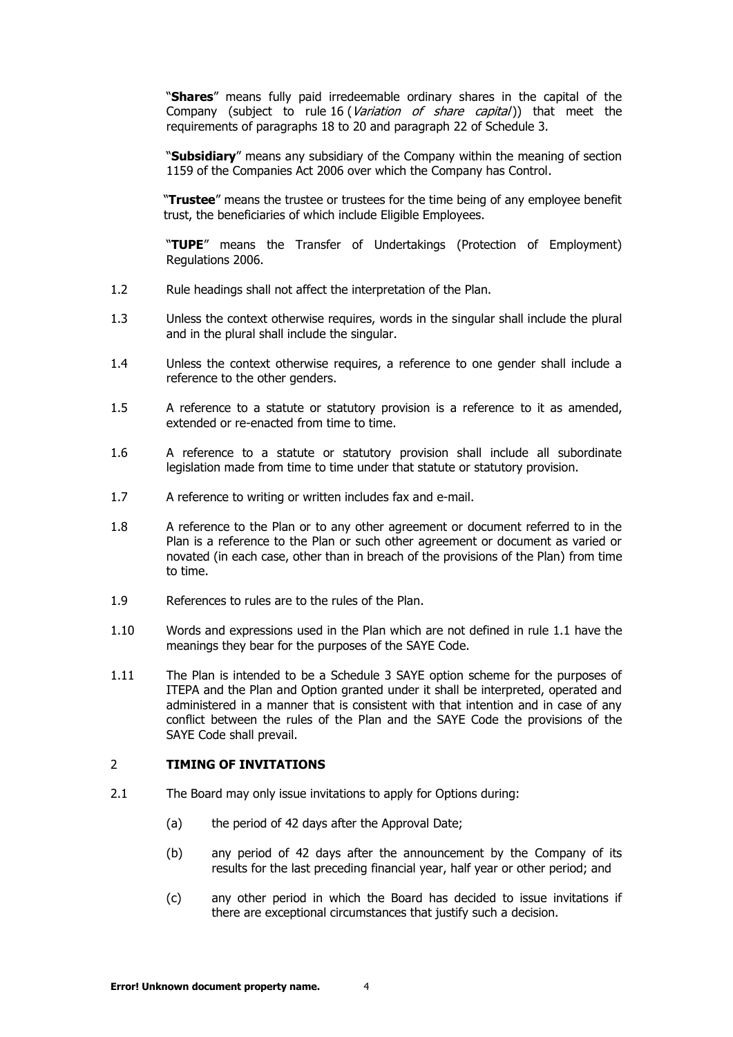"**Shares**" means fully paid irredeemable ordinary shares in the capital of the Company (subject to rule [16](#page-16-0) ([Variation of share capital](#page-16-0))) that meet the requirements of paragraphs 18 to 20 and paragraph 22 of Schedule 3.

"**Subsidiary**" means any subsidiary of the Company within the meaning of section 1159 of the Companies Act 2006 over which the Company has Control.

"**Trustee**" means the trustee or trustees for the time being of any employee benefit trust, the beneficiaries of which include Eligible Employees.

"**TUPE**" means the Transfer of Undertakings (Protection of Employment) Regulations 2006.

- 1.2 Rule headings shall not affect the interpretation of the Plan.
- 1.3 Unless the context otherwise requires, words in the singular shall include the plural and in the plural shall include the singular.
- 1.4 Unless the context otherwise requires, a reference to one gender shall include a reference to the other genders.
- 1.5 A reference to a statute or statutory provision is a reference to it as amended, extended or re-enacted from time to time.
- 1.6 A reference to a statute or statutory provision shall include all subordinate legislation made from time to time under that statute or statutory provision.
- 1.7 A reference to writing or written includes fax and e-mail.
- 1.8 A reference to the Plan or to any other agreement or document referred to in the Plan is a reference to the Plan or such other agreement or document as varied or novated (in each case, other than in breach of the provisions of the Plan) from time to time.
- 1.9 References to rules are to the rules of the Plan.
- 1.10 Words and expressions used in the Plan which are not defined in rule [1.1](#page-2-1) have the meanings they bear for the purposes of the SAYE Code.
- 1.11 The Plan is intended to be a Schedule 3 SAYE option scheme for the purposes of ITEPA and the Plan and Option granted under it shall be interpreted, operated and administered in a manner that is consistent with that intention and in case of any conflict between the rules of the Plan and the SAYE Code the provisions of the SAYE Code shall prevail.

#### <span id="page-5-0"></span>2 **TIMING OF INVITATIONS**

- 2.1 The Board may only issue invitations to apply for Options during:
	- (a) the period of 42 days after the Approval Date;
	- (b) any period of 42 days after the announcement by the Company of its results for the last preceding financial year, half year or other period; and
	- (c) any other period in which the Board has decided to issue invitations if there are exceptional circumstances that justify such a decision.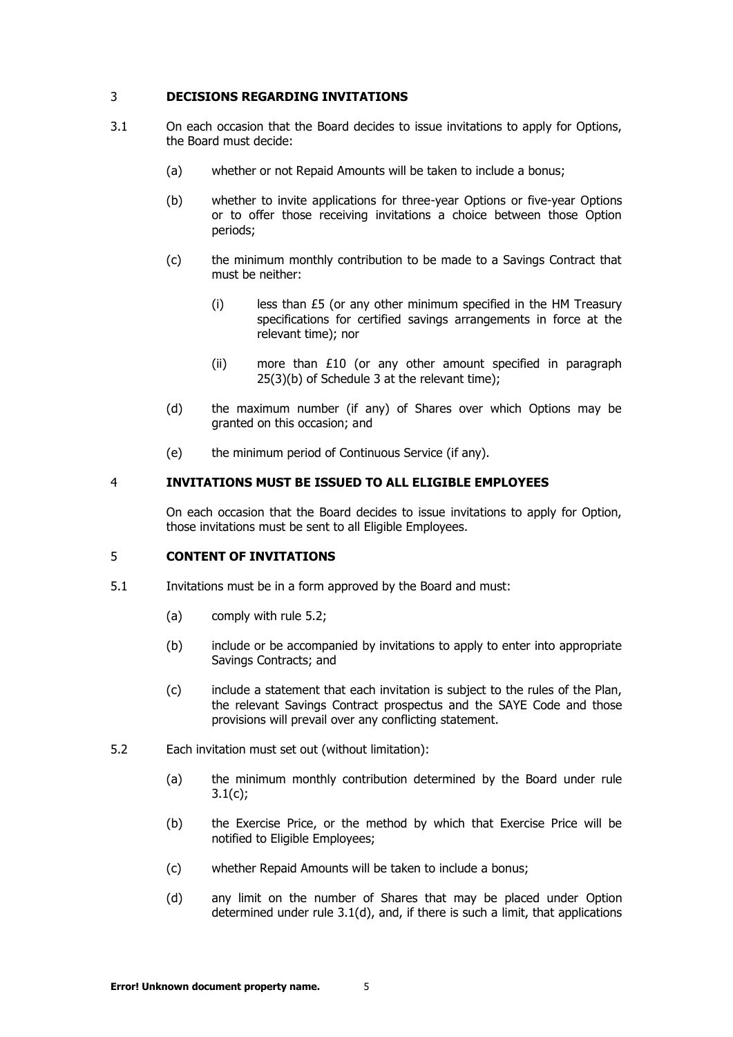# <span id="page-6-0"></span>3 **DECISIONS REGARDING INVITATIONS**

- <span id="page-6-6"></span><span id="page-6-4"></span>3.1 On each occasion that the Board decides to issue invitations to apply for Options, the Board must decide:
	- (a) whether or not Repaid Amounts will be taken to include a bonus;
	- (b) whether to invite applications for three-year Options or five-year Options or to offer those receiving invitations a choice between those Option periods;
	- (c) the minimum monthly contribution to be made to a Savings Contract that must be neither:
		- $(i)$  less than £5 (or any other minimum specified in the HM Treasury specifications for certified savings arrangements in force at the relevant time); nor
		- (ii) more than £10 (or any other amount specified in paragraph 25(3)(b) of Schedule 3 at the relevant time);
	- (d) the maximum number (if any) of Shares over which Options may be granted on this occasion; and
	- (e) the minimum period of Continuous Service (if any).

#### <span id="page-6-7"></span><span id="page-6-3"></span><span id="page-6-1"></span>4 **INVITATIONS MUST BE ISSUED TO ALL ELIGIBLE EMPLOYEES**

On each occasion that the Board decides to issue invitations to apply for Option, those invitations must be sent to all Eligible Employees.

#### <span id="page-6-2"></span>5 **CONTENT OF INVITATIONS**

- 5.1 Invitations must be in a form approved by the Board and must:
	- (a) comply with rule [5.2;](#page-6-5)
	- (b) include or be accompanied by invitations to apply to enter into appropriate Savings Contracts; and
	- (c) include a statement that each invitation is subject to the rules of the Plan, the relevant Savings Contract prospectus and the SAYE Code and those provisions will prevail over any conflicting statement.
- <span id="page-6-5"></span>5.2 Each invitation must set out (without limitation):
	- (a) the minimum monthly contribution determined by the Board under rule  $3.1(c)$ ;
	- (b) the Exercise Price, or the method by which that Exercise Price will be notified to Eligible Employees;
	- (c) whether Repaid Amounts will be taken to include a bonus;
	- (d) any limit on the number of Shares that may be placed under Option determined under rule [3.1\(d\),](#page-6-7) and, if there is such a limit, that applications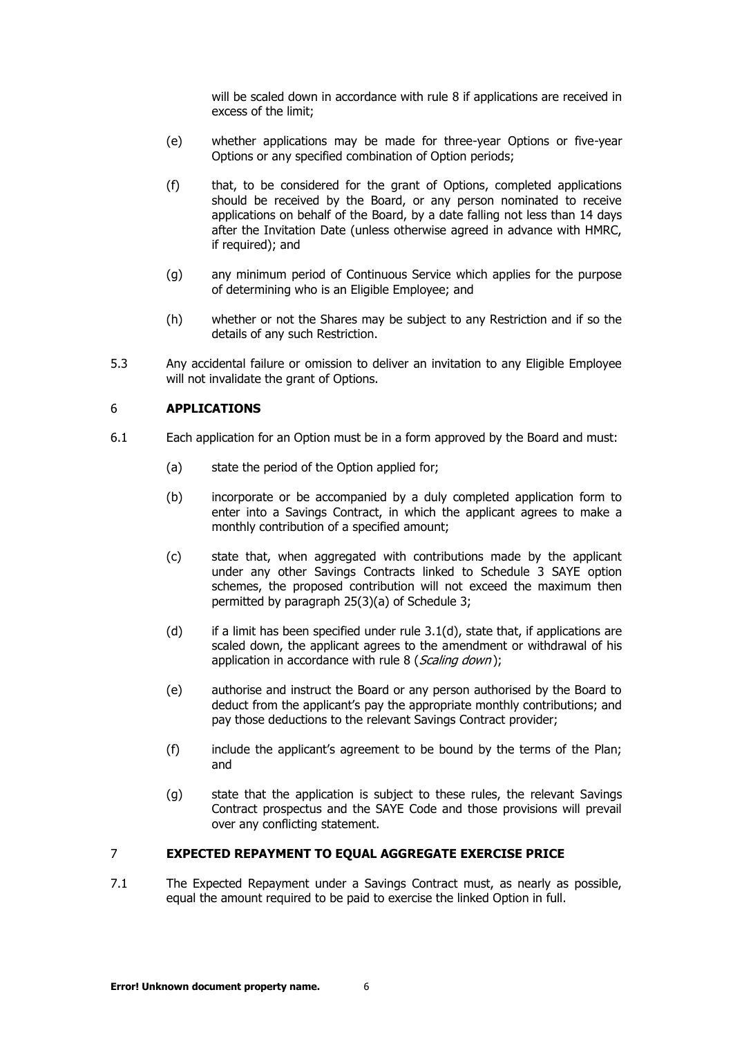will be scaled down in accordance with rule [8](#page-8-0) if applications are received in excess of the limit;

- (e) whether applications may be made for three-year Options or five-year Options or any specified combination of Option periods;
- (f) that, to be considered for the grant of Options, completed applications should be received by the Board, or any person nominated to receive applications on behalf of the Board, by a date falling not less than 14 days after the Invitation Date (unless otherwise agreed in advance with HMRC, if required); and
- (g) any minimum period of Continuous Service which applies for the purpose of determining who is an Eligible Employee; and
- (h) whether or not the Shares may be subject to any Restriction and if so the details of any such Restriction.
- 5.3 Any accidental failure or omission to deliver an invitation to any Eligible Employee will not invalidate the grant of Options.

## <span id="page-7-0"></span>6 **APPLICATIONS**

- 6.1 Each application for an Option must be in a form approved by the Board and must:
	- (a) state the period of the Option applied for;
	- (b) incorporate or be accompanied by a duly completed application form to enter into a Savings Contract, in which the applicant agrees to make a monthly contribution of a specified amount;
	- (c) state that, when aggregated with contributions made by the applicant under any other Savings Contracts linked to Schedule 3 SAYE option schemes, the proposed contribution will not exceed the maximum then permitted by paragraph 25(3)(a) of Schedule 3;
	- (d) if a limit has been specified under rule  $3.1(d)$ , state that, if applications are scaled down, the applicant agrees to the amendment or withdrawal of his application in accordance with rule [8](#page-8-0) ([Scaling down](#page-8-0));
	- (e) authorise and instruct the Board or any person authorised by the Board to deduct from the applicant's pay the appropriate monthly contributions; and pay those deductions to the relevant Savings Contract provider;
	- (f) include the applicant's agreement to be bound by the terms of the Plan; and
	- (g) state that the application is subject to these rules, the relevant Savings Contract prospectus and the SAYE Code and those provisions will prevail over any conflicting statement.

#### <span id="page-7-1"></span>7 **EXPECTED REPAYMENT TO EQUAL AGGREGATE EXERCISE PRICE**

7.1 The Expected Repayment under a Savings Contract must, as nearly as possible, equal the amount required to be paid to exercise the linked Option in full.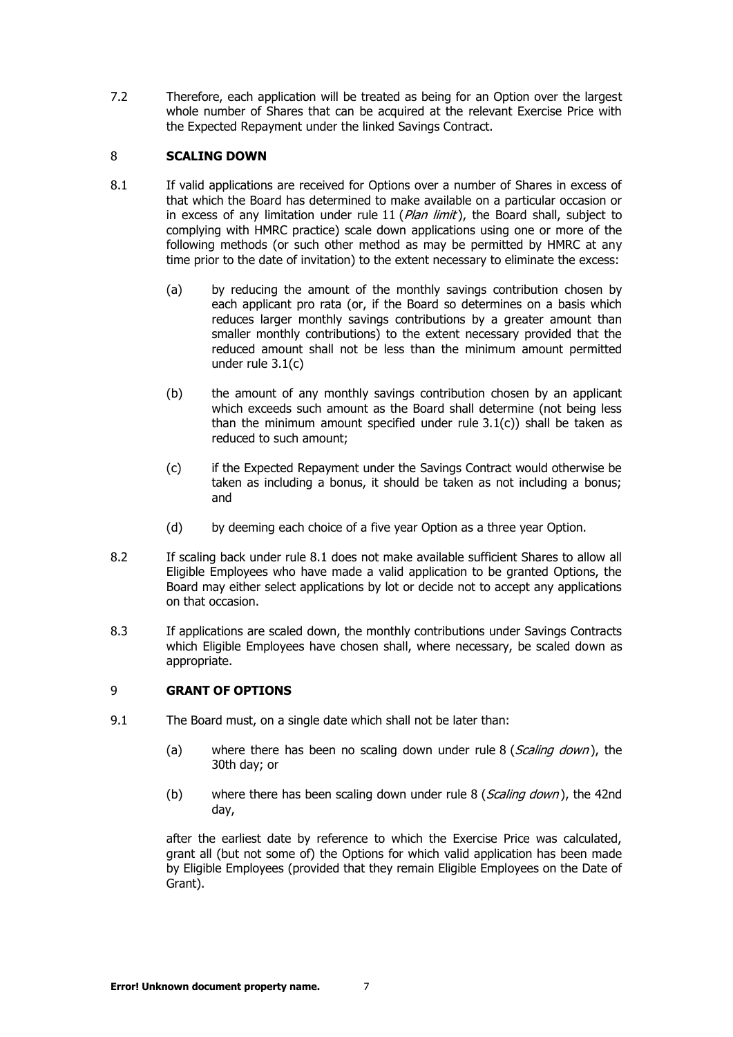7.2 Therefore, each application will be treated as being for an Option over the largest whole number of Shares that can be acquired at the relevant Exercise Price with the Expected Repayment under the linked Savings Contract.

## <span id="page-8-2"></span><span id="page-8-0"></span>8 **SCALING DOWN**

- 8.1 If valid applications are received for Options over a number of Shares in excess of that which the Board has determined to make available on a particular occasion or in excess of any limitation under rule [11](#page-9-1) ( $Plan$  limit), the Board shall, subject to complying with HMRC practice) scale down applications using one or more of the following methods (or such other method as may be permitted by HMRC at any time prior to the date of invitation) to the extent necessary to eliminate the excess:
	- (a) by reducing the amount of the monthly savings contribution chosen by each applicant pro rata (or, if the Board so determines on a basis which reduces larger monthly savings contributions by a greater amount than smaller monthly contributions) to the extent necessary provided that the reduced amount shall not be less than the minimum amount permitted under rule [3.1\(c\)](#page-6-6)
	- (b) the amount of any monthly savings contribution chosen by an applicant which exceeds such amount as the Board shall determine (not being less than the minimum amount specified under rule  $3.1(c)$ ) shall be taken as reduced to such amount;
	- (c) if the Expected Repayment under the Savings Contract would otherwise be taken as including a bonus, it should be taken as not including a bonus; and
	- (d) by deeming each choice of a five year Option as a three year Option.
- 8.2 If scaling back under rule [8.1](#page-8-2) does not make available sufficient Shares to allow all Eligible Employees who have made a valid application to be granted Options, the Board may either select applications by lot or decide not to accept any applications on that occasion.
- 8.3 If applications are scaled down, the monthly contributions under Savings Contracts which Eligible Employees have chosen shall, where necessary, be scaled down as appropriate.

# <span id="page-8-1"></span>9 **GRANT OF OPTIONS**

- 9.1 The Board must, on a single date which shall not be later than:
	- (a) where there has been no scaling down under rule [8](#page-8-0) (*[Scaling down](#page-8-0)*), the 30th day; or
	- (b) where there has been scaling down under rule  $8$  (*[Scaling down](#page-8-0)*), the 42nd day,

after the earliest date by reference to which the Exercise Price was calculated, grant all (but not some of) the Options for which valid application has been made by Eligible Employees (provided that they remain Eligible Employees on the Date of Grant).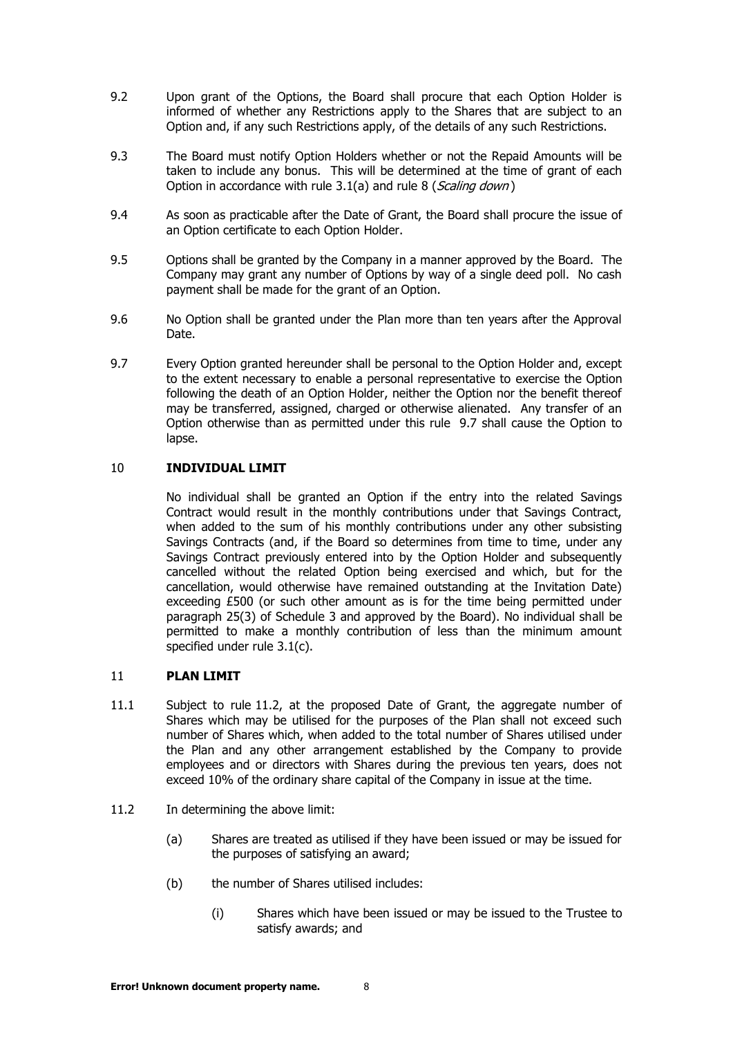- 9.2 Upon grant of the Options, the Board shall procure that each Option Holder is informed of whether any Restrictions apply to the Shares that are subject to an Option and, if any such Restrictions apply, of the details of any such Restrictions.
- 9.3 The Board must notify Option Holders whether or not the Repaid Amounts will be taken to include any bonus. This will be determined at the time of grant of each Option in accordance with rule [3.1\(a\)](#page-6-4) and rule [8](#page-8-0) ([Scaling down](#page-8-0))
- 9.4 As soon as practicable after the Date of Grant, the Board shall procure the issue of an Option certificate to each Option Holder.
- 9.5 Options shall be granted by the Company in a manner approved by the Board. The Company may grant any number of Options by way of a single deed poll. No cash payment shall be made for the grant of an Option.
- 9.6 No Option shall be granted under the Plan more than ten years after the Approval Date.
- <span id="page-9-2"></span>9.7 Every Option granted hereunder shall be personal to the Option Holder and, except to the extent necessary to enable a personal representative to exercise the Option following the death of an Option Holder, neither the Option nor the benefit thereof may be transferred, assigned, charged or otherwise alienated. Any transfer of an Option otherwise than as permitted under this rule [9.7](#page-9-2) shall cause the Option to lapse.

# <span id="page-9-0"></span>10 **INDIVIDUAL LIMIT**

No individual shall be granted an Option if the entry into the related Savings Contract would result in the monthly contributions under that Savings Contract, when added to the sum of his monthly contributions under any other subsisting Savings Contracts (and, if the Board so determines from time to time, under any Savings Contract previously entered into by the Option Holder and subsequently cancelled without the related Option being exercised and which, but for the cancellation, would otherwise have remained outstanding at the Invitation Date) exceeding  $£500$  (or such other amount as is for the time being permitted under paragraph 25(3) of Schedule 3 and approved by the Board). No individual shall be permitted to make a monthly contribution of less than the minimum amount specified under rule [3.1\(c\).](#page-6-6)

## <span id="page-9-1"></span>11 **PLAN LIMIT**

- 11.1 Subject to rule [11.2,](#page-9-3) at the proposed Date of Grant, the aggregate number of Shares which may be utilised for the purposes of the Plan shall not exceed such number of Shares which, when added to the total number of Shares utilised under the Plan and any other arrangement established by the Company to provide employees and or directors with Shares during the previous ten years, does not exceed 10% of the ordinary share capital of the Company in issue at the time.
- <span id="page-9-3"></span>11.2 In determining the above limit:
	- (a) Shares are treated as utilised if they have been issued or may be issued for the purposes of satisfying an award;
	- (b) the number of Shares utilised includes:
		- (i) Shares which have been issued or may be issued to the Trustee to satisfy awards; and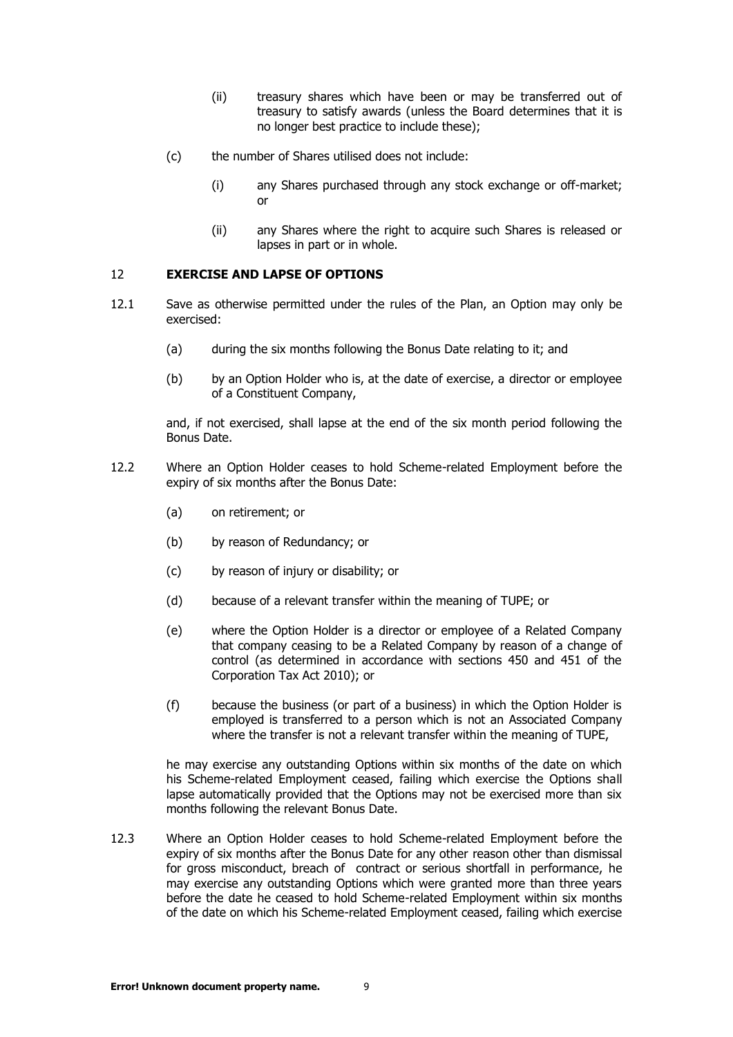- (ii) treasury shares which have been or may be transferred out of treasury to satisfy awards (unless the Board determines that it is no longer best practice to include these);
- (c) the number of Shares utilised does not include:
	- (i) any Shares purchased through any stock exchange or off-market; or
	- (ii) any Shares where the right to acquire such Shares is released or lapses in part or in whole.

# <span id="page-10-0"></span>12 **EXERCISE AND LAPSE OF OPTIONS**

- <span id="page-10-3"></span>12.1 Save as otherwise permitted under the rules of the Plan, an Option may only be exercised:
	- (a) during the six months following the Bonus Date relating to it; and
	- (b) by an Option Holder who is, at the date of exercise, a director or employee of a Constituent Company,

and, if not exercised, shall lapse at the end of the six month period following the Bonus Date.

- <span id="page-10-1"></span>12.2 Where an Option Holder ceases to hold Scheme-related Employment before the expiry of six months after the Bonus Date:
	- (a) on retirement; or
	- (b) by reason of Redundancy; or
	- (c) by reason of injury or disability; or
	- (d) because of a relevant transfer within the meaning of TUPE; or
	- (e) where the Option Holder is a director or employee of a Related Company that company ceasing to be a Related Company by reason of a change of control (as determined in accordance with sections 450 and 451 of the Corporation Tax Act 2010); or
	- (f) because the business (or part of a business) in which the Option Holder is employed is transferred to a person which is not an Associated Company where the transfer is not a relevant transfer within the meaning of TUPE,

he may exercise any outstanding Options within six months of the date on which his Scheme-related Employment ceased, failing which exercise the Options shall lapse automatically provided that the Options may not be exercised more than six months following the relevant Bonus Date.

<span id="page-10-2"></span>12.3 Where an Option Holder ceases to hold Scheme-related Employment before the expiry of six months after the Bonus Date for any other reason other than dismissal for gross misconduct, breach of contract or serious shortfall in performance, he may exercise any outstanding Options which were granted more than three years before the date he ceased to hold Scheme-related Employment within six months of the date on which his Scheme-related Employment ceased, failing which exercise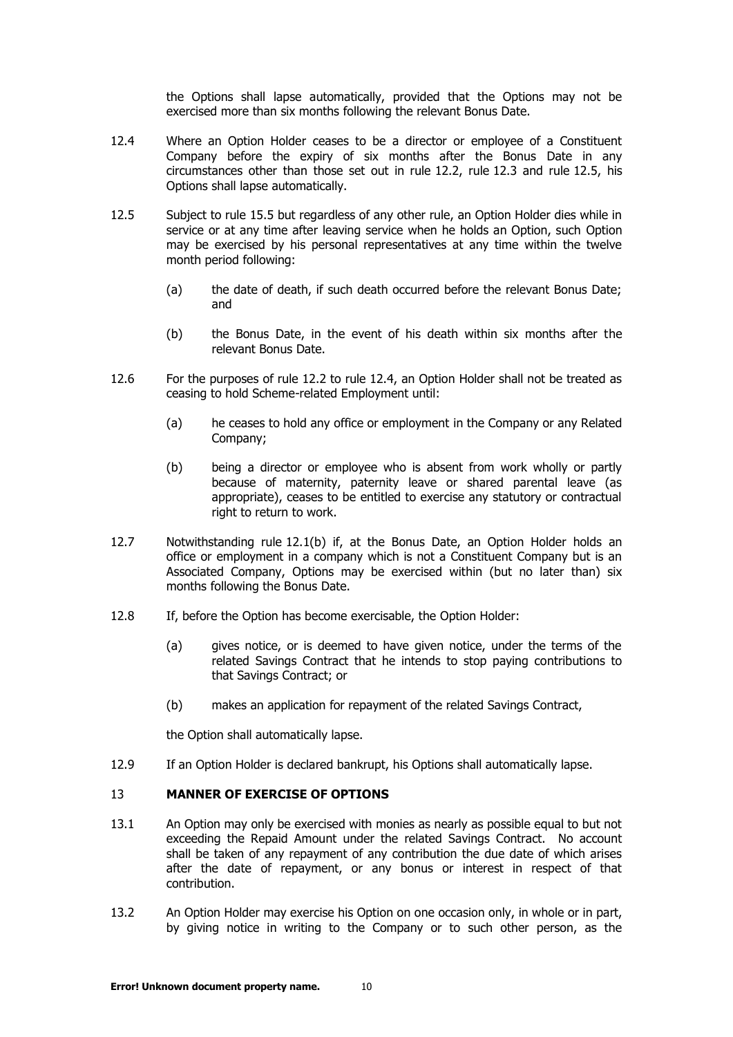the Options shall lapse automatically, provided that the Options may not be exercised more than six months following the relevant Bonus Date.

- <span id="page-11-2"></span>12.4 Where an Option Holder ceases to be a director or employee of a Constituent Company before the expiry of six months after the Bonus Date in any circumstances other than those set out in rule [12.2,](#page-10-1) rule [12.3](#page-10-2) and rule [12.5,](#page-11-1) his Options shall lapse automatically.
- <span id="page-11-1"></span>12.5 Subject to rule [15.5](#page-14-0) but regardless of any other rule, an Option Holder dies while in service or at any time after leaving service when he holds an Option, such Option may be exercised by his personal representatives at any time within the twelve month period following:
	- (a) the date of death, if such death occurred before the relevant Bonus Date; and
	- (b) the Bonus Date, in the event of his death within six months after the relevant Bonus Date.
- 12.6 For the purposes of rule [12.2](#page-10-1) to rule [12.4,](#page-11-2) an Option Holder shall not be treated as ceasing to hold Scheme-related Employment until:
	- (a) he ceases to hold any office or employment in the Company or any Related Company;
	- (b) being a director or employee who is absent from work wholly or partly because of maternity, paternity leave or shared parental leave (as appropriate), ceases to be entitled to exercise any statutory or contractual right to return to work.
- 12.7 Notwithstanding rule [12.1\(b\)](#page-10-3) if, at the Bonus Date, an Option Holder holds an office or employment in a company which is not a Constituent Company but is an Associated Company, Options may be exercised within (but no later than) six months following the Bonus Date.
- 12.8 If, before the Option has become exercisable, the Option Holder:
	- (a) gives notice, or is deemed to have given notice, under the terms of the related Savings Contract that he intends to stop paying contributions to that Savings Contract; or
	- (b) makes an application for repayment of the related Savings Contract,

the Option shall automatically lapse.

<span id="page-11-0"></span>12.9 If an Option Holder is declared bankrupt, his Options shall automatically lapse.

# 13 **MANNER OF EXERCISE OF OPTIONS**

- 13.1 An Option may only be exercised with monies as nearly as possible equal to but not exceeding the Repaid Amount under the related Savings Contract. No account shall be taken of any repayment of any contribution the due date of which arises after the date of repayment, or any bonus or interest in respect of that contribution.
- 13.2 An Option Holder may exercise his Option on one occasion only, in whole or in part, by giving notice in writing to the Company or to such other person, as the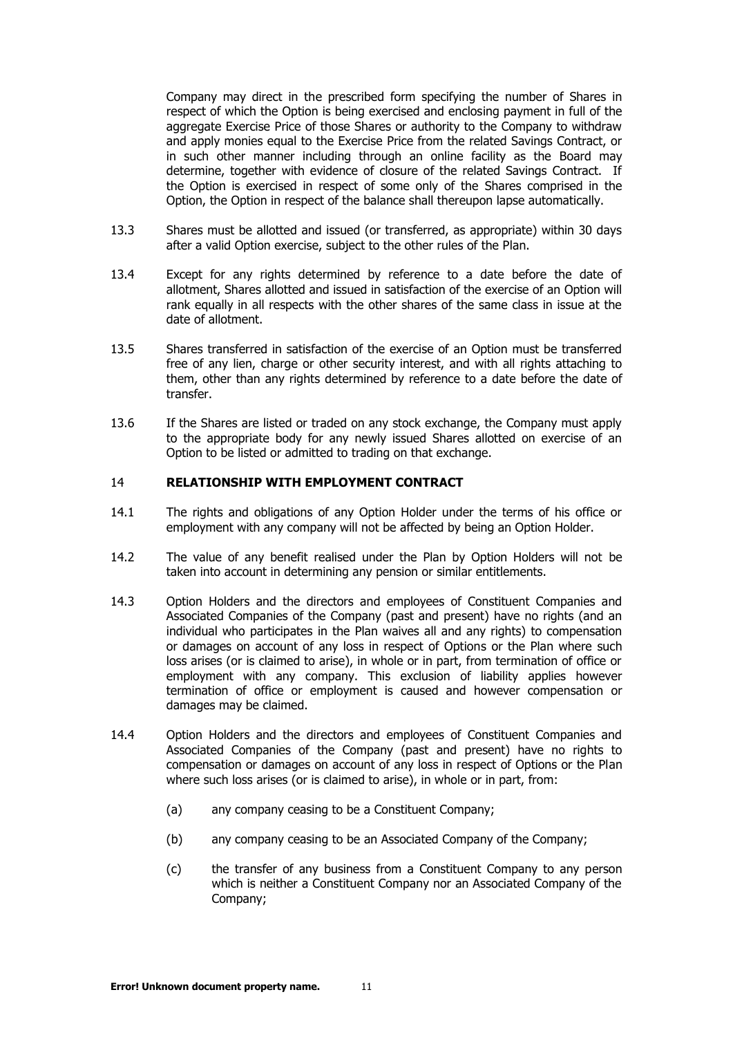Company may direct in the prescribed form specifying the number of Shares in respect of which the Option is being exercised and enclosing payment in full of the aggregate Exercise Price of those Shares or authority to the Company to withdraw and apply monies equal to the Exercise Price from the related Savings Contract, or in such other manner including through an online facility as the Board may determine, together with evidence of closure of the related Savings Contract. If the Option is exercised in respect of some only of the Shares comprised in the Option, the Option in respect of the balance shall thereupon lapse automatically.

- 13.3 Shares must be allotted and issued (or transferred, as appropriate) within 30 days after a valid Option exercise, subject to the other rules of the Plan.
- 13.4 Except for any rights determined by reference to a date before the date of allotment, Shares allotted and issued in satisfaction of the exercise of an Option will rank equally in all respects with the other shares of the same class in issue at the date of allotment.
- 13.5 Shares transferred in satisfaction of the exercise of an Option must be transferred free of any lien, charge or other security interest, and with all rights attaching to them, other than any rights determined by reference to a date before the date of transfer.
- 13.6 If the Shares are listed or traded on any stock exchange, the Company must apply to the appropriate body for any newly issued Shares allotted on exercise of an Option to be listed or admitted to trading on that exchange.

#### <span id="page-12-0"></span>14 **RELATIONSHIP WITH EMPLOYMENT CONTRACT**

- 14.1 The rights and obligations of any Option Holder under the terms of his office or employment with any company will not be affected by being an Option Holder.
- 14.2 The value of any benefit realised under the Plan by Option Holders will not be taken into account in determining any pension or similar entitlements.
- 14.3 Option Holders and the directors and employees of Constituent Companies and Associated Companies of the Company (past and present) have no rights (and an individual who participates in the Plan waives all and any rights) to compensation or damages on account of any loss in respect of Options or the Plan where such loss arises (or is claimed to arise), in whole or in part, from termination of office or employment with any company. This exclusion of liability applies however termination of office or employment is caused and however compensation or damages may be claimed.
- 14.4 Option Holders and the directors and employees of Constituent Companies and Associated Companies of the Company (past and present) have no rights to compensation or damages on account of any loss in respect of Options or the Plan where such loss arises (or is claimed to arise), in whole or in part, from:
	- (a) any company ceasing to be a Constituent Company;
	- (b) any company ceasing to be an Associated Company of the Company;
	- (c) the transfer of any business from a Constituent Company to any person which is neither a Constituent Company nor an Associated Company of the Company;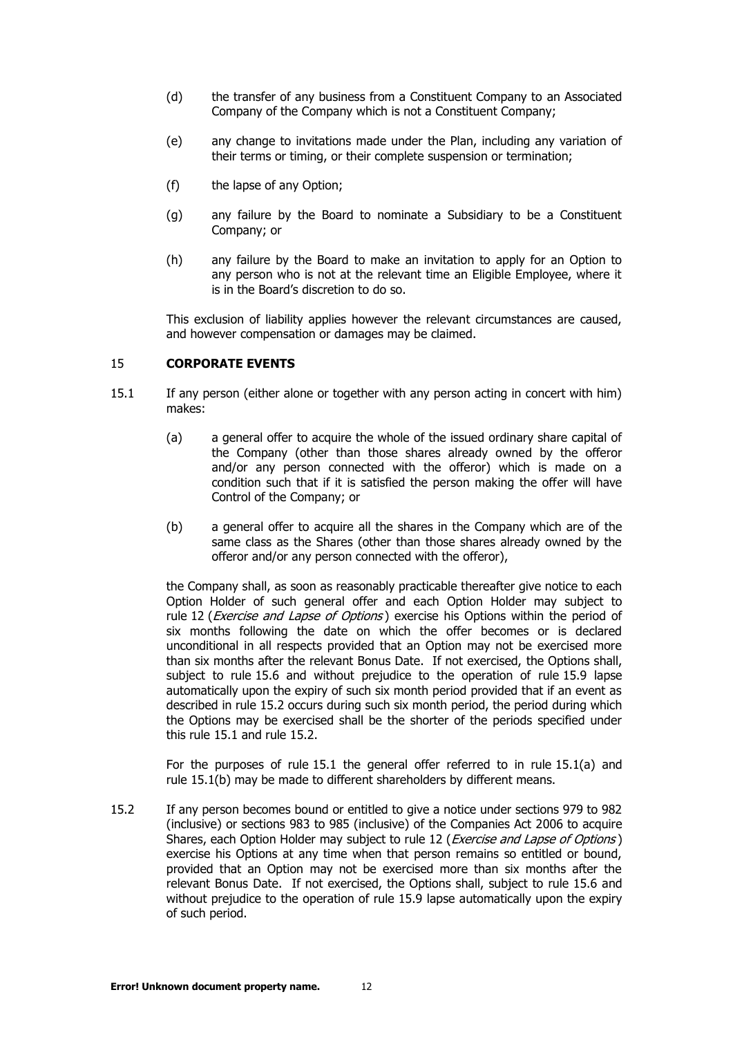- (d) the transfer of any business from a Constituent Company to an Associated Company of the Company which is not a Constituent Company;
- (e) any change to invitations made under the Plan, including any variation of their terms or timing, or their complete suspension or termination;
- (f) the lapse of any Option;
- (g) any failure by the Board to nominate a Subsidiary to be a Constituent Company; or
- (h) any failure by the Board to make an invitation to apply for an Option to any person who is not at the relevant time an Eligible Employee, where it is in the Board's discretion to do so.

This exclusion of liability applies however the relevant circumstances are caused, and however compensation or damages may be claimed.

# <span id="page-13-2"></span><span id="page-13-0"></span>15 **CORPORATE EVENTS**

- <span id="page-13-3"></span>15.1 If any person (either alone or together with any person acting in concert with him) makes:
	- (a) a general offer to acquire the whole of the issued ordinary share capital of the Company (other than those shares already owned by the offeror and/or any person connected with the offeror) which is made on a condition such that if it is satisfied the person making the offer will have Control of the Company; or
	- (b) a general offer to acquire all the shares in the Company which are of the same class as the Shares (other than those shares already owned by the offeror and/or any person connected with the offeror),

the Company shall, as soon as reasonably practicable thereafter give notice to each Option Holder of such general offer and each Option Holder may subject to rule [12](#page-10-0) (*[Exercise and Lapse of Options](#page-10-0)*) exercise his Options within the period of six months following the date on which the offer becomes or is declared unconditional in all respects provided that an Option may not be exercised more than six months after the relevant Bonus Date. If not exercised, the Options shall, subject to rule [15.6](#page-14-1) and without prejudice to the operation of rule [15.9](#page-15-0) lapse automatically upon the expiry of such six month period provided that if an event as described in rule [15.2](#page-13-1) occurs during such six month period, the period during which the Options may be exercised shall be the shorter of the periods specified under this rule [15.1](#page-13-2) and rule [15.2.](#page-13-1)

For the purposes of rule [15.1](#page-13-2) the general offer referred to in rule [15.1\(a\)](#page-13-3) and rule 15.1(b) may be made to different shareholders by different means.

<span id="page-13-1"></span>15.2 If any person becomes bound or entitled to give a notice under sections 979 to 982 (inclusive) or sections 983 to 985 (inclusive) of the Companies Act 2006 to acquire Shares, each Option Holder may subject to rule [12](#page-10-0) (*[Exercise and Lapse of Options](#page-10-0)*) exercise his Options at any time when that person remains so entitled or bound, provided that an Option may not be exercised more than six months after the relevant Bonus Date. If not exercised, the Options shall, subject to rule [15.6](#page-14-1) and without prejudice to the operation of rule [15.9](#page-15-0) lapse automatically upon the expiry of such period.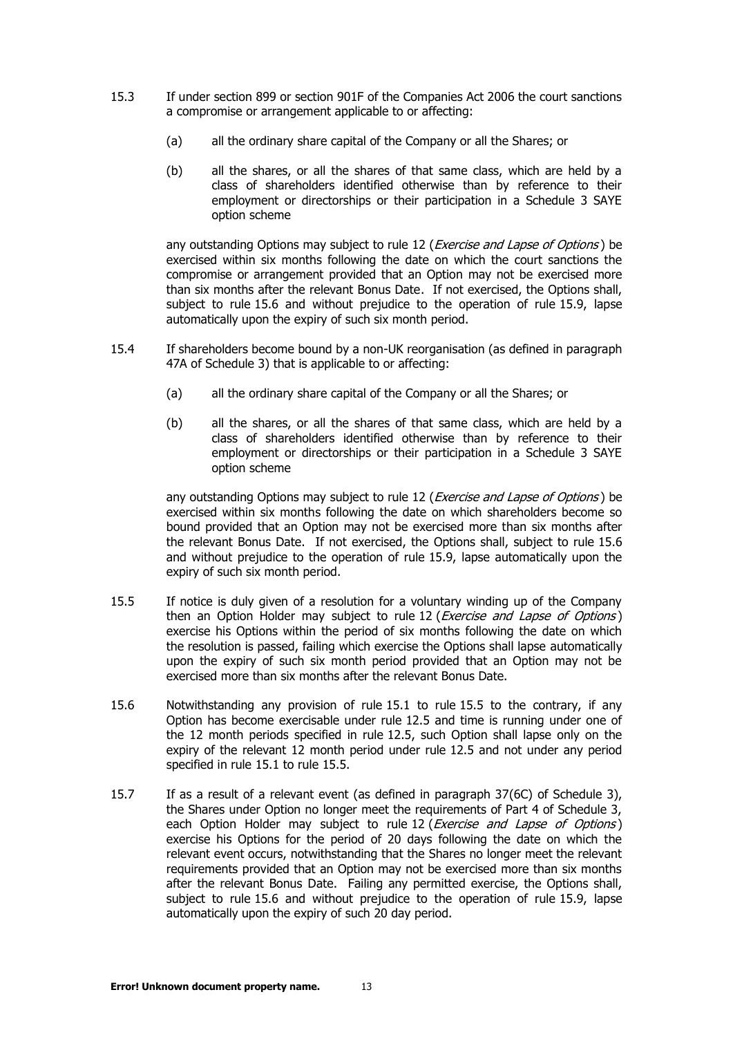- 15.3 If under section 899 or section 901F of the Companies Act 2006 the court sanctions a compromise or arrangement applicable to or affecting:
	- (a) all the ordinary share capital of the Company or all the Shares; or
	- (b) all the shares, or all the shares of that same class, which are held by a class of shareholders identified otherwise than by reference to their employment or directorships or their participation in a Schedule 3 SAYE option scheme

any outstanding Options may subject to rule [12](#page-10-0) (*[Exercise and Lapse of Options](#page-10-0)*) be exercised within six months following the date on which the court sanctions the compromise or arrangement provided that an Option may not be exercised more than six months after the relevant Bonus Date. If not exercised, the Options shall, subject to rule [15.6](#page-14-1) and without prejudice to the operation of rule [15.9,](#page-15-0) lapse automatically upon the expiry of such six month period.

- <span id="page-14-2"></span>15.4 If shareholders become bound by a non-UK reorganisation (as defined in paragraph 47A of Schedule 3) that is applicable to or affecting:
	- (a) all the ordinary share capital of the Company or all the Shares; or
	- (b) all the shares, or all the shares of that same class, which are held by a class of shareholders identified otherwise than by reference to their employment or directorships or their participation in a Schedule 3 SAYE option scheme

any outstanding Options may subject to rule [12](#page-10-0) (*[Exercise and Lapse of Options](#page-10-0)*) be exercised within six months following the date on which shareholders become so bound provided that an Option may not be exercised more than six months after the relevant Bonus Date. If not exercised, the Options shall, subject to rule [15.6](#page-14-1) and without prejudice to the operation of rule [15.9,](#page-15-0) lapse automatically upon the expiry of such six month period.

- <span id="page-14-0"></span>15.5 If notice is duly given of a resolution for a voluntary winding up of the Company then an Option Holder may subject to rule [12](#page-10-0) (*[Exercise and Lapse of Options](#page-10-0)*) exercise his Options within the period of six months following the date on which the resolution is passed, failing which exercise the Options shall lapse automatically upon the expiry of such six month period provided that an Option may not be exercised more than six months after the relevant Bonus Date.
- <span id="page-14-1"></span>15.6 Notwithstanding any provision of rule [15.1](#page-13-2) to rule [15.5](#page-14-0) to the contrary, if any Option has become exercisable under rule [12.5](#page-11-1) and time is running under one of the 12 month periods specified in rule [12.5,](#page-11-1) such Option shall lapse only on the expiry of the relevant 12 month period under rule [12.5](#page-11-1) and not under any period specified in rule [15.1](#page-13-2) to rule [15.5.](#page-14-0)
- 15.7 If as a result of a relevant event (as defined in paragraph 37(6C) of Schedule 3), the Shares under Option no longer meet the requirements of Part 4 of Schedule 3, each Option Holder may subject to rule [12](#page-10-0) (*[Exercise and Lapse of Options](#page-10-0)*) exercise his Options for the period of 20 days following the date on which the relevant event occurs, notwithstanding that the Shares no longer meet the relevant requirements provided that an Option may not be exercised more than six months after the relevant Bonus Date. Failing any permitted exercise, the Options shall, subject to rule [15.6](#page-14-1) and without prejudice to the operation of rule [15.9,](#page-15-0) lapse automatically upon the expiry of such 20 day period.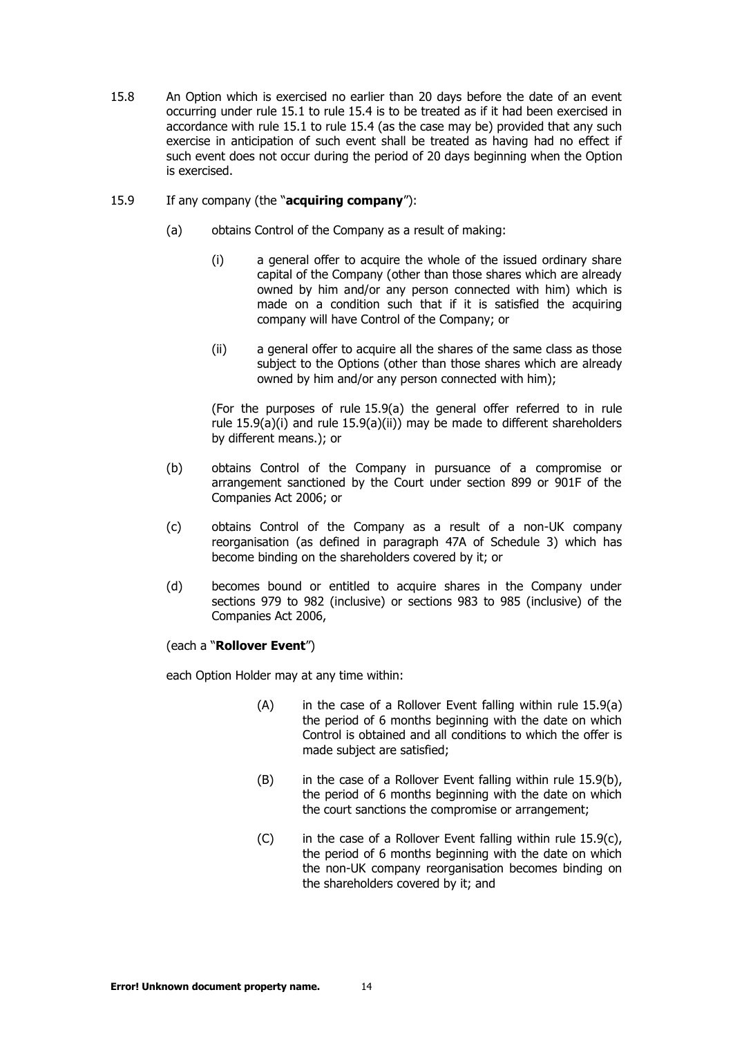15.8 An Option which is exercised no earlier than 20 days before the date of an event occurring under rule [15.1](#page-13-2) to rule [15.4](#page-14-2) is to be treated as if it had been exercised in accordance with rule [15.1](#page-13-2) to rule [15.4](#page-14-2) (as the case may be) provided that any such exercise in anticipation of such event shall be treated as having had no effect if such event does not occur during the period of 20 days beginning when the Option is exercised.

#### <span id="page-15-2"></span><span id="page-15-1"></span><span id="page-15-0"></span>15.9 If any company (the "**acquiring company**"):

- <span id="page-15-3"></span>(a) obtains Control of the Company as a result of making:
	- (i) a general offer to acquire the whole of the issued ordinary share capital of the Company (other than those shares which are already owned by him and/or any person connected with him) which is made on a condition such that if it is satisfied the acquiring company will have Control of the Company; or
	- (ii) a general offer to acquire all the shares of the same class as those subject to the Options (other than those shares which are already owned by him and/or any person connected with him);

(For the purposes of rule [15.9\(a\)](#page-15-1) the general offer referred to in rule rule [15.9\(a\)\(i\)](#page-15-2) and rule [15.9\(a\)\(ii\)\)](#page-15-3) may be made to different shareholders by different means.); or

- <span id="page-15-4"></span>(b) obtains Control of the Company in pursuance of a compromise or arrangement sanctioned by the Court under section 899 or 901F of the Companies Act 2006; or
- <span id="page-15-5"></span>(c) obtains Control of the Company as a result of a non-UK company reorganisation (as defined in paragraph 47A of Schedule 3) which has become binding on the shareholders covered by it; or
- <span id="page-15-6"></span>(d) becomes bound or entitled to acquire shares in the Company under sections 979 to 982 (inclusive) or sections 983 to 985 (inclusive) of the Companies Act 2006,

#### (each a "**Rollover Event**")

each Option Holder may at any time within:

- $(A)$  in the case of a Rollover Event falling within rule [15.9\(a\)](#page-15-1) the period of 6 months beginning with the date on which Control is obtained and all conditions to which the offer is made subject are satisfied;
- (B) in the case of a Rollover Event falling within rule [15.9\(b\),](#page-15-4) the period of 6 months beginning with the date on which the court sanctions the compromise or arrangement;
- $(C)$  in the case of a Rollover Event falling within rule [15.9\(c\),](#page-15-5) the period of 6 months beginning with the date on which the non-UK company reorganisation becomes binding on the shareholders covered by it; and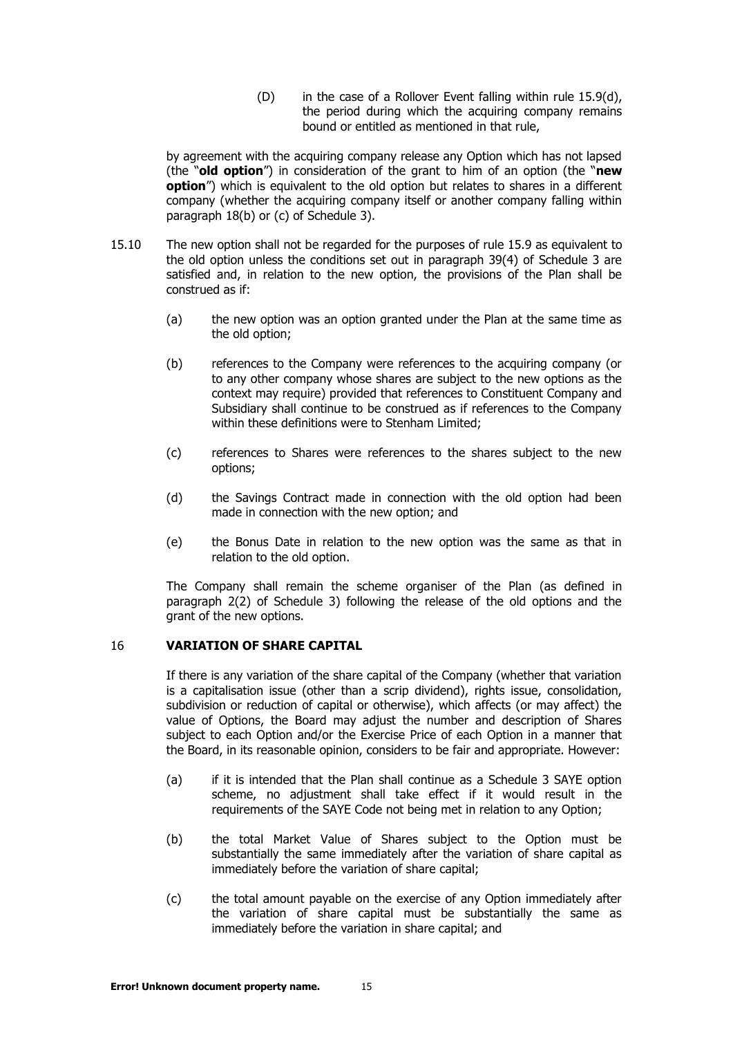(D) in the case of a Rollover Event falling within rule 15.9(d), the period during which the acquiring company [remains](#page-15-6) bound or entitled as mentioned in that rule,

by agreement with the acquiring company release any Option which has not lapsed (the "**old option**") in consideration of the grant to him of an option (the "**new option**") which is equivalent to the old option but relates to shares in a different company (whether the acquiring company itself or another company falling within paragraph 18(b) or (c) of Schedule 3).

- 15.10 The new option shall not be regarded for the purposes of rule [15.9](#page-15-0) as equivalent to the old option unless the conditions set out in paragraph 39(4) of Schedule 3 are satisfied and, in relation to the new option, the provisions of the Plan shall be construed as if:
	- (a) the new option was an option granted under the Plan at the same time as the old option;
	- (b) references to the Company were references to the acquiring company (or to any other company whose shares are subject to the new options as the context may require) provided that references to Constituent Company and Subsidiary shall continue to be construed as if references to the Company within these definitions were to Stenham Limited;
	- (c) references to Shares were references to the shares subject to the new options;
	- (d) the Savings Contract made in connection with the old option had been made in connection with the new option; and
	- (e) the Bonus Date in relation to the new option was the same as that in relation to the old option.

The Company shall remain the scheme organiser of the Plan (as defined in paragraph 2(2) of Schedule 3) following the release of the old options and the grant of the new options.

## <span id="page-16-0"></span>16 **VARIATION OF SHARE CAPITAL**

If there is any variation of the share capital of the Company (whether that variation is a capitalisation issue (other than a scrip dividend), rights issue, consolidation, subdivision or reduction of capital or otherwise), which affects (or may affect) the value of Options, the Board may adjust the number and description of Shares subject to each Option and/or the Exercise Price of each Option in a manner that the Board, in its reasonable opinion, considers to be fair and appropriate. However:

- (a) if it is intended that the Plan shall continue as a Schedule 3 SAYE option scheme, no adjustment shall take effect if it would result in the requirements of the SAYE Code not being met in relation to any Option;
- (b) the total Market Value of Shares subject to the Option must be substantially the same immediately after the variation of share capital as immediately before the variation of share capital;
- (c) the total amount payable on the exercise of any Option immediately after the variation of share capital must be substantially the same as immediately before the variation in share capital; and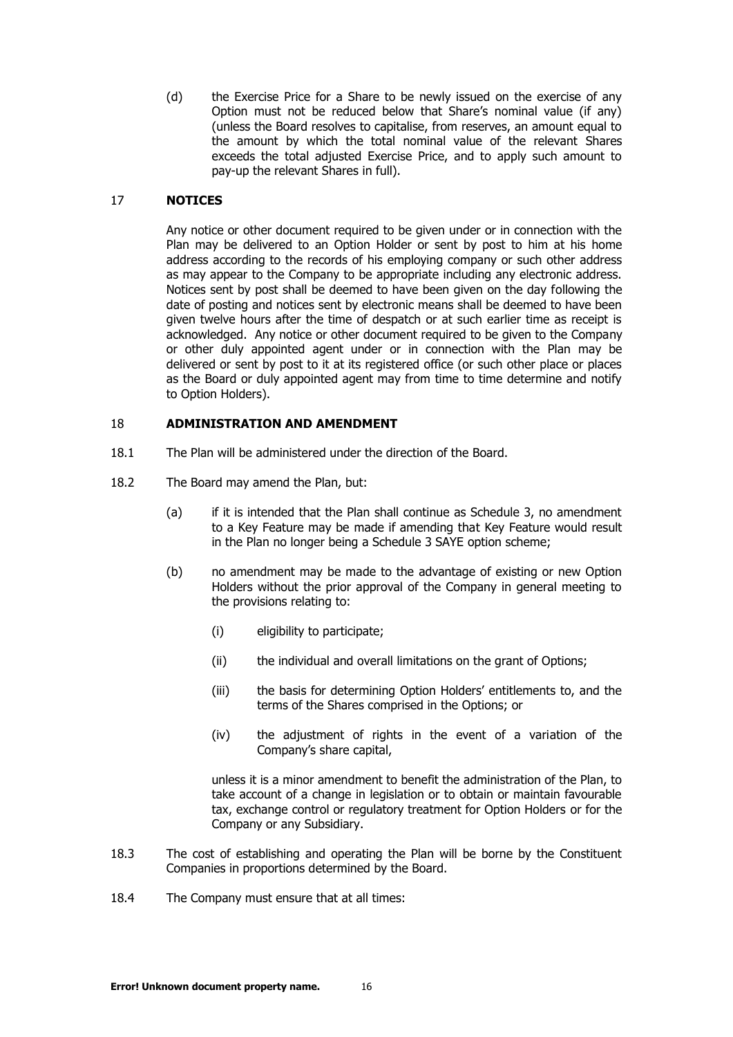(d) the Exercise Price for a Share to be newly issued on the exercise of any Option must not be reduced below that Share's nominal value (if any) (unless the Board resolves to capitalise, from reserves, an amount equal to the amount by which the total nominal value of the relevant Shares exceeds the total adjusted Exercise Price, and to apply such amount to pay-up the relevant Shares in full).

# <span id="page-17-0"></span>17 **NOTICES**

Any notice or other document required to be given under or in connection with the Plan may be delivered to an Option Holder or sent by post to him at his home address according to the records of his employing company or such other address as may appear to the Company to be appropriate including any electronic address. Notices sent by post shall be deemed to have been given on the day following the date of posting and notices sent by electronic means shall be deemed to have been given twelve hours after the time of despatch or at such earlier time as receipt is acknowledged. Any notice or other document required to be given to the Company or other duly appointed agent under or in connection with the Plan may be delivered or sent by post to it at its registered office (or such other place or places as the Board or duly appointed agent may from time to time determine and notify to Option Holders).

# <span id="page-17-1"></span>18 **ADMINISTRATION AND AMENDMENT**

- 18.1 The Plan will be administered under the direction of the Board.
- 18.2 The Board may amend the Plan, but:
	- (a) if it is intended that the Plan shall continue as Schedule 3, no amendment to a Key Feature may be made if amending that Key Feature would result in the Plan no longer being a Schedule 3 SAYE option scheme;
	- (b) no amendment may be made to the advantage of existing or new Option Holders without the prior approval of the Company in general meeting to the provisions relating to:
		- (i) eligibility to participate;
		- (ii) the individual and overall limitations on the grant of Options;
		- (iii) the basis for determining Option Holders' entitlements to, and the terms of the Shares comprised in the Options; or
		- (iv) the adjustment of rights in the event of a variation of the Company's share capital,

unless it is a minor amendment to benefit the administration of the Plan, to take account of a change in legislation or to obtain or maintain favourable tax, exchange control or regulatory treatment for Option Holders or for the Company or any Subsidiary.

- 18.3 The cost of establishing and operating the Plan will be borne by the Constituent Companies in proportions determined by the Board.
- 18.4 The Company must ensure that at all times: